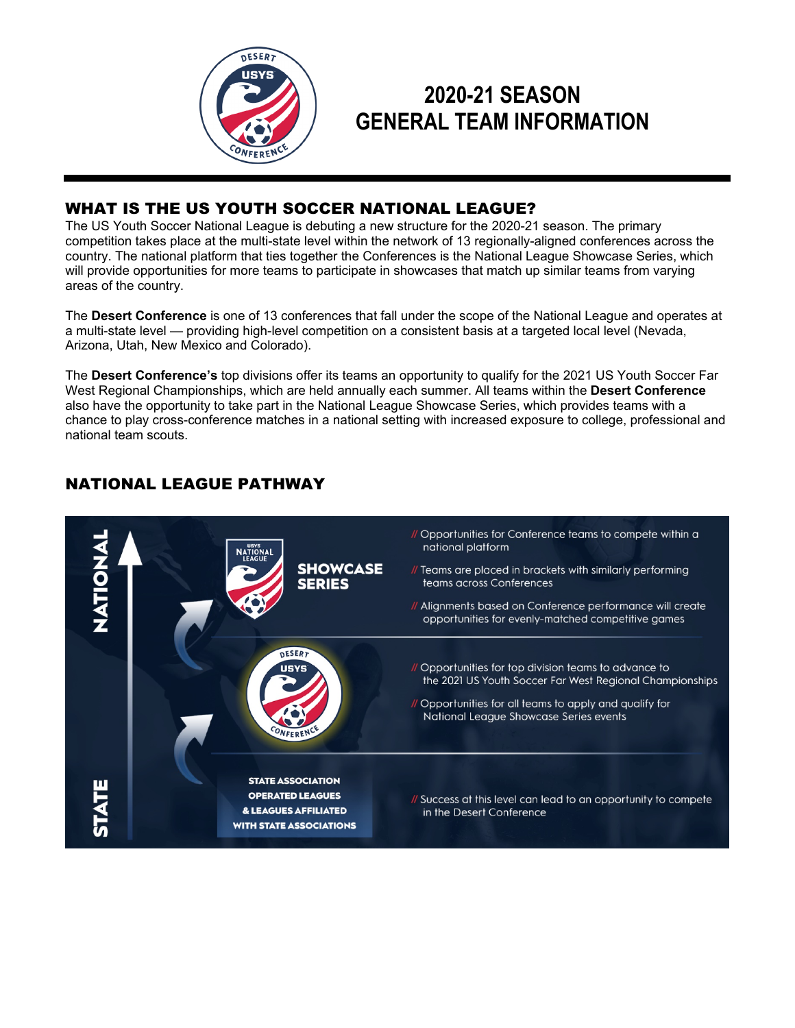

# **2020-21 SEASON GENERAL TEAM INFORMATION**

# WHAT IS THE US YOUTH SOCCER NATIONAL LEAGUE?

The US Youth Soccer National League is debuting a new structure for the 2020-21 season. The primary competition takes place at the multi-state level within the network of 13 regionally-aligned conferences across the country. The national platform that ties together the Conferences is the National League Showcase Series, which will provide opportunities for more teams to participate in showcases that match up similar teams from varying areas of the country.

The **Desert Conference** is one of 13 conferences that fall under the scope of the National League and operates at a multi-state level — providing high-level competition on a consistent basis at a targeted local level (Nevada, Arizona, Utah, New Mexico and Colorado).

The **Desert Conference's** top divisions offer its teams an opportunity to qualify for the 2021 US Youth Soccer Far West Regional Championships, which are held annually each summer. All teams within the **Desert Conference** also have the opportunity to take part in the National League Showcase Series, which provides teams with a chance to play cross-conference matches in a national setting with increased exposure to college, professional and national team scouts.



# NATIONAL LEAGUE PATHWAY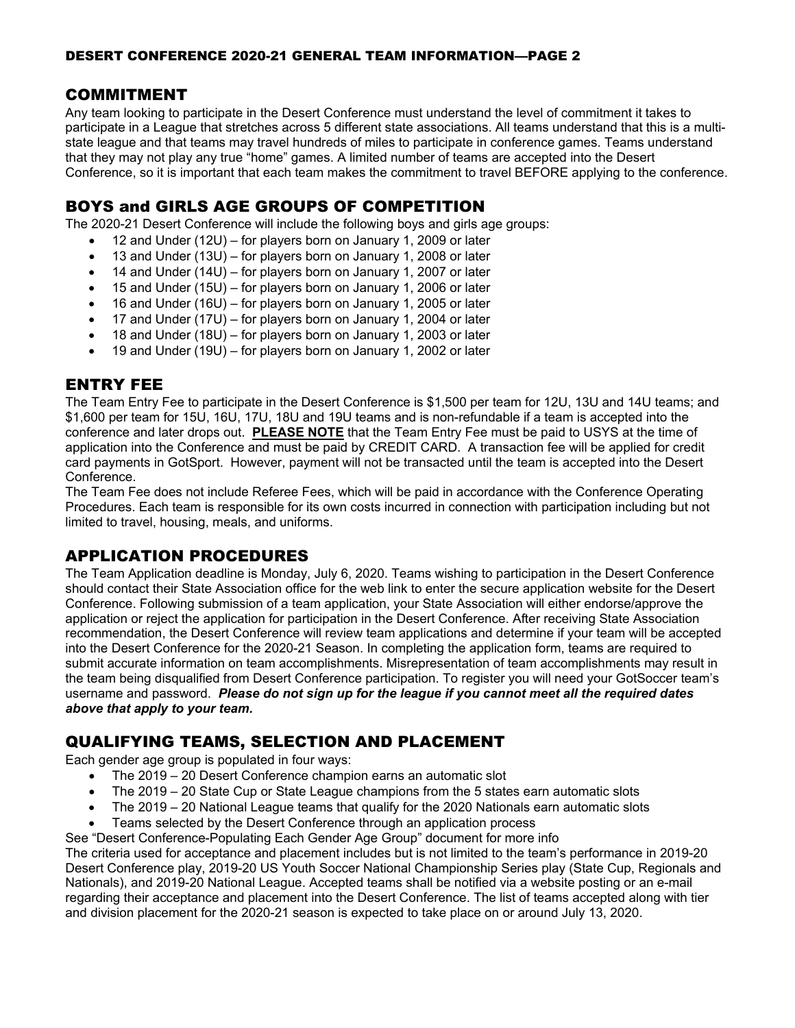#### COMMITMENT

Any team looking to participate in the Desert Conference must understand the level of commitment it takes to participate in a League that stretches across 5 different state associations. All teams understand that this is a multistate league and that teams may travel hundreds of miles to participate in conference games. Teams understand that they may not play any true "home" games. A limited number of teams are accepted into the Desert Conference, so it is important that each team makes the commitment to travel BEFORE applying to the conference.

# BOYS and GIRLS AGE GROUPS OF COMPETITION

The 2020-21 Desert Conference will include the following boys and girls age groups:

- 12 and Under (12U) for players born on January 1, 2009 or later
- 13 and Under (13U) for players born on January 1, 2008 or later
- 14 and Under (14U) for players born on January 1, 2007 or later
- 15 and Under (15U) for players born on January 1, 2006 or later
- 16 and Under (16U) for players born on January 1, 2005 or later
- 17 and Under (17U) for players born on January 1, 2004 or later
- 18 and Under (18U) for players born on January 1, 2003 or later
- 19 and Under (19U) for players born on January 1, 2002 or later

#### ENTRY FEE

The Team Entry Fee to participate in the Desert Conference is \$1,500 per team for 12U, 13U and 14U teams; and \$1,600 per team for 15U, 16U, 17U, 18U and 19U teams and is non-refundable if a team is accepted into the conference and later drops out. **PLEASE NOTE** that the Team Entry Fee must be paid to USYS at the time of application into the Conference and must be paid by CREDIT CARD. A transaction fee will be applied for credit card payments in GotSport. However, payment will not be transacted until the team is accepted into the Desert Conference.

The Team Fee does not include Referee Fees, which will be paid in accordance with the Conference Operating Procedures. Each team is responsible for its own costs incurred in connection with participation including but not limited to travel, housing, meals, and uniforms.

#### APPLICATION PROCEDURES

The Team Application deadline is Monday, July 6, 2020. Teams wishing to participation in the Desert Conference should contact their State Association office for the web link to enter the secure application website for the Desert Conference. Following submission of a team application, your State Association will either endorse/approve the application or reject the application for participation in the Desert Conference. After receiving State Association recommendation, the Desert Conference will review team applications and determine if your team will be accepted into the Desert Conference for the 2020-21 Season. In completing the application form, teams are required to submit accurate information on team accomplishments. Misrepresentation of team accomplishments may result in the team being disqualified from Desert Conference participation. To register you will need your GotSoccer team's username and password. *Please do not sign up for the league if you cannot meet all the required dates above that apply to your team.*

### QUALIFYING TEAMS, SELECTION AND PLACEMENT

Each gender age group is populated in four ways:

- The 2019 20 Desert Conference champion earns an automatic slot
- The 2019 20 State Cup or State League champions from the 5 states earn automatic slots
- The 2019 20 National League teams that qualify for the 2020 Nationals earn automatic slots
- Teams selected by the Desert Conference through an application process

See "Desert Conference-Populating Each Gender Age Group" document for more info

The criteria used for acceptance and placement includes but is not limited to the team's performance in 2019-20 Desert Conference play, 2019-20 US Youth Soccer National Championship Series play (State Cup, Regionals and Nationals), and 2019-20 National League. Accepted teams shall be notified via a website posting or an e-mail regarding their acceptance and placement into the Desert Conference. The list of teams accepted along with tier and division placement for the 2020-21 season is expected to take place on or around July 13, 2020.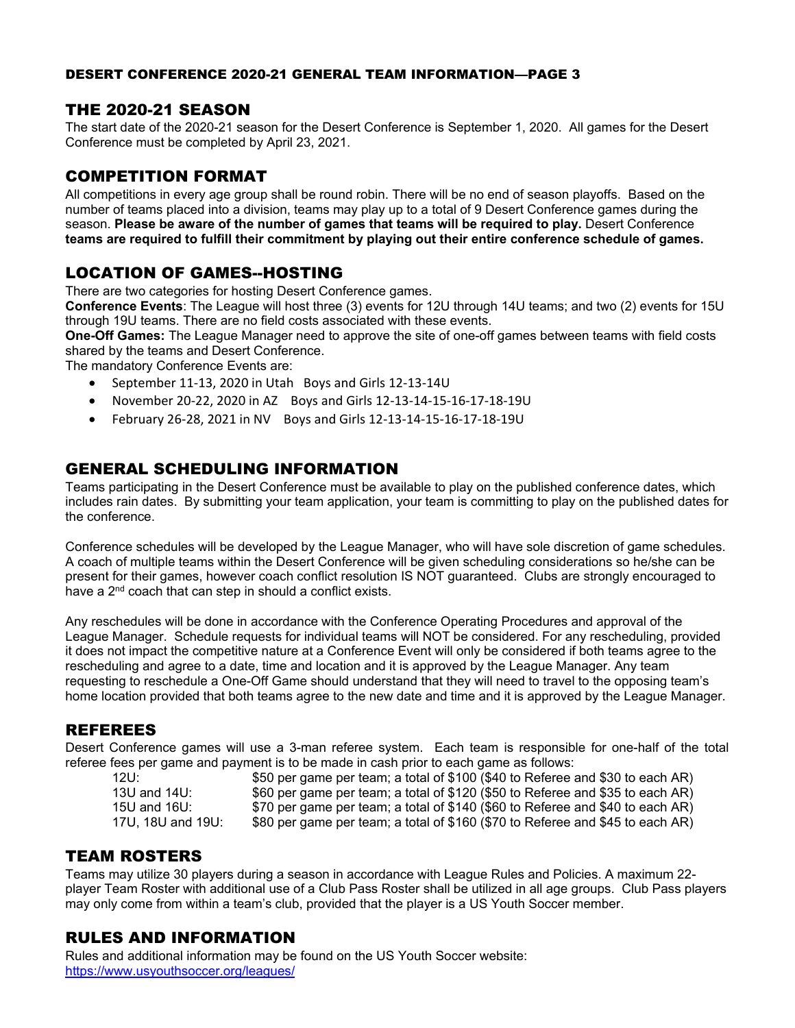#### DESERT CONFERENCE 2020-21 GENERAL TEAM INFORMATION—PAGE 3

#### THE 2020-21 SEASON

The start date of the 2020-21 season for the Desert Conference is September 1, 2020. All games for the Desert Conference must be completed by April 23, 2021.

#### COMPETITION FORMAT

All competitions in every age group shall be round robin. There will be no end of season playoffs. Based on the number of teams placed into a division, teams may play up to a total of 9 Desert Conference games during the season. **Please be aware of the number of games that teams will be required to play.** Desert Conference **teams are required to fulfill their commitment by playing out their entire conference schedule of games.** 

# LOCATION OF GAMES--HOSTING

There are two categories for hosting Desert Conference games.

**Conference Events**: The League will host three (3) events for 12U through 14U teams; and two (2) events for 15U through 19U teams. There are no field costs associated with these events.

**One-Off Games:** The League Manager need to approve the site of one-off games between teams with field costs shared by the teams and Desert Conference.

The mandatory Conference Events are:

- September 11-13, 2020 in Utah Boys and Girls 12-13-14U
- November 20-22, 2020 in AZ Boys and Girls 12-13-14-15-16-17-18-19U
- February 26-28, 2021 in NV Boys and Girls 12-13-14-15-16-17-18-19U

#### GENERAL SCHEDULING INFORMATION

Teams participating in the Desert Conference must be available to play on the published conference dates, which includes rain dates. By submitting your team application, your team is committing to play on the published dates for the conference.

Conference schedules will be developed by the League Manager, who will have sole discretion of game schedules. A coach of multiple teams within the Desert Conference will be given scheduling considerations so he/she can be present for their games, however coach conflict resolution IS NOT guaranteed. Clubs are strongly encouraged to have a 2<sup>nd</sup> coach that can step in should a conflict exists.

Any reschedules will be done in accordance with the Conference Operating Procedures and approval of the League Manager. Schedule requests for individual teams will NOT be considered. For any rescheduling, provided it does not impact the competitive nature at a Conference Event will only be considered if both teams agree to the rescheduling and agree to a date, time and location and it is approved by the League Manager. Any team requesting to reschedule a One-Off Game should understand that they will need to travel to the opposing team's home location provided that both teams agree to the new date and time and it is approved by the League Manager.

#### REFEREES

Desert Conference games will use a 3-man referee system. Each team is responsible for one-half of the total referee fees per game and payment is to be made in cash prior to each game as follows:<br>\$50 per game per team: a total of \$100 (\$40 to Referee).

\$50 per game per team; a total of \$100 (\$40 to Referee and \$30 to each AR) 13U and 14U: \$60 per game per team; a total of \$120 (\$50 to Referee and \$35 to each AR) 15U and 16U: \$70 per game per team; a total of \$140 (\$60 to Referee and \$40 to each AR)<br>17U, 18U and 19U: \$80 per game per team; a total of \$160 (\$70 to Referee and \$45 to each AR) \$80 per game per team; a total of \$160 (\$70 to Referee and \$45 to each AR)

#### TEAM ROSTERS

Teams may utilize 30 players during a season in accordance with League Rules and Policies. A maximum 22 player Team Roster with additional use of a Club Pass Roster shall be utilized in all age groups. Club Pass players may only come from within a team's club, provided that the player is a US Youth Soccer member.

#### RULES AND INFORMATION

Rules and additional information may be found on the US Youth Soccer website: <https://www.usyouthsoccer.org/leagues/>